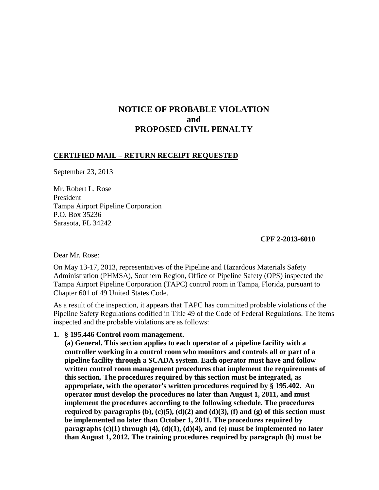# **NOTICE OF PROBABLE VIOLATION and PROPOSED CIVIL PENALTY**

### **CERTIFIED MAIL – RETURN RECEIPT REQUESTED**

September 23, 2013

Mr. Robert L. Rose President Tampa Airport Pipeline Corporation P.O. Box 35236 Sarasota, FL 34242

#### **CPF 2-2013-6010**

Dear Mr. Rose:

On May 13-17, 2013, representatives of the Pipeline and Hazardous Materials Safety Administration (PHMSA), Southern Region, Office of Pipeline Safety (OPS) inspected the Tampa Airport Pipeline Corporation (TAPC) control room in Tampa, Florida, pursuant to Chapter 601 of 49 United States Code.

As a result of the inspection, it appears that TAPC has committed probable violations of the Pipeline Safety Regulations codified in Title 49 of the Code of Federal Regulations. The items inspected and the probable violations are as follows:

#### **1. § 195.446 Control room management.**

**(a) General. This section applies to each operator of a pipeline facility with a controller working in a control room who monitors and controls all or part of a pipeline facility through a SCADA system. Each operator must have and follow written control room management procedures that implement the requirements of this section. The procedures required by this section must be integrated, as appropriate, with the operator's written procedures required by § 195.402. An operator must develop the procedures no later than August 1, 2011, and must implement the procedures according to the following schedule. The procedures required by paragraphs (b), (c)(5), (d)(2) and (d)(3), (f) and (g) of this section must be implemented no later than October 1, 2011. The procedures required by paragraphs (c)(1) through (4), (d)(1), (d)(4), and (e) must be implemented no later than August 1, 2012. The training procedures required by paragraph (h) must be**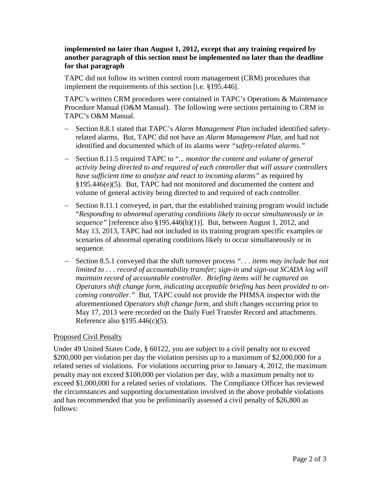### **implemented no later than August 1, 2012, except that any training required by another paragraph of this section must be implemented no later than the deadline for that paragraph**

TAPC did not follow its written control room management (CRM) procedures that implement the requirements of this section [i.e. §195.446].

TAPC's written CRM procedures were contained in TAPC's Operations & Maintenance Procedure Manual (O&M Manual). The following were sections pertaining to CRM in TAPC's O&M Manual.

- − Section 8.8.1 stated that TAPC's *Alarm Management Plan* included identified safetyrelated alarms. But, TAPC did not have an *Alarm Management Plan*, and had not identified and documented which of its alarms were *"safety-related alarms."*
- − Section 8.11.5 required TAPC to "..*. monitor the content and volume of general activity being directed to and required of each controller that will assure controllers have sufficient time to analyze and react to incoming alarms"* as required by §195.446(e)(5). But, TAPC had not monitored and documented the content and volume of general activity being directed to and required of each controller.
- − Section 8.11.1 conveyed, in part, that the established training program would include "*Responding to abnormal operating conditions likely to occur simultaneously or in sequence"* [reference also §195.446(h)(1)]. But, between August 1, 2012, and May 13, 2013, TAPC had not included in its training program specific examples or scenarios of abnormal operating conditions likely to occur simultaneously or in sequence.
- − Section 8.5.1 conveyed that the shift turnover process *". . . items may include but not limited to . . . record of accountability transfer; sign-in and sign-out SCADA log will maintain record of accountable controller. Briefing items will be captured on Operators shift change form, indicating acceptable briefing has been provided to oncoming controller."* But, TAPC could not provide the PHMSA inspector with the aforementioned *Operators shift change form*, and shift changes occurring prior to May 17, 2013 were recorded on the Daily Fuel Transfer Record and attachments. Reference also §195.446(c)(5).

## Proposed Civil Penalty

Under 49 United States Code, § 60122, you are subject to a civil penalty not to exceed \$200,000 per violation per day the violation persists up to a maximum of \$2,000,000 for a related series of violations. For violations occurring prior to January 4, 2012, the maximum penalty may not exceed \$100,000 per violation per day, with a maximum penalty not to exceed \$1,000,000 for a related series of violations. The Compliance Officer has reviewed the circumstances and supporting documentation involved in the above probable violations and has recommended that you be preliminarily assessed a civil penalty of \$26,800 as follows: